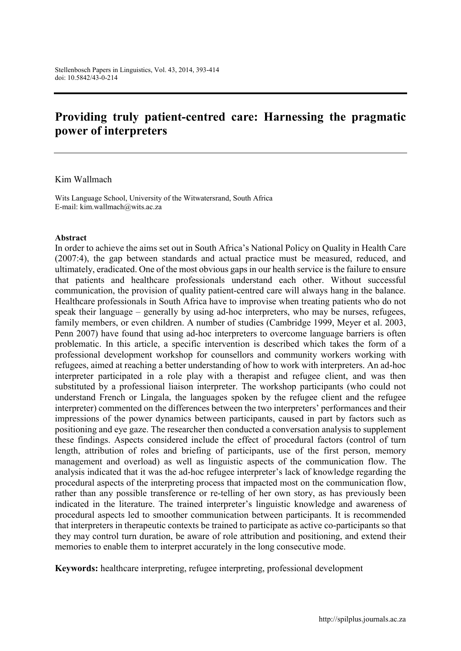# **Providing truly patient-centred care: Harnessing the pragmatic power of interpreters**

#### Kim Wallmach

Wits Language School, University of the Witwatersrand, South Africa E-mail: [kim.wallmach@wits.ac.za](mailto:kim.wallmach@wits.ac.za)

#### **Abstract**

In order to achieve the aims set out in South Africa's National Policy on Quality in Health Care (2007:4), the gap between standards and actual practice must be measured, reduced, and ultimately, eradicated. One of the most obvious gaps in our health service is the failure to ensure that patients and healthcare professionals understand each other. Without successful communication, the provision of quality patient-centred care will always hang in the balance. Healthcare professionals in South Africa have to improvise when treating patients who do not speak their language – generally by using ad-hoc interpreters, who may be nurses, refugees, family members, or even children. A number of studies (Cambridge 1999, Meyer et al. 2003, Penn 2007) have found that using ad-hoc interpreters to overcome language barriers is often problematic. In this article, a specific intervention is described which takes the form of a professional development workshop for counsellors and community workers working with refugees, aimed at reaching a better understanding of how to work with interpreters. An ad-hoc interpreter participated in a role play with a therapist and refugee client, and was then substituted by a professional liaison interpreter. The workshop participants (who could not understand French or Lingala, the languages spoken by the refugee client and the refugee interpreter) commented on the differences between the two interpreters' performances and their impressions of the power dynamics between participants, caused in part by factors such as positioning and eye gaze. The researcher then conducted a conversation analysis to supplement these findings. Aspects considered include the effect of procedural factors (control of turn length, attribution of roles and briefing of participants, use of the first person, memory management and overload) as well as linguistic aspects of the communication flow. The analysis indicated that it was the ad-hoc refugee interpreter's lack of knowledge regarding the procedural aspects of the interpreting process that impacted most on the communication flow, rather than any possible transference or re-telling of her own story, as has previously been indicated in the literature. The trained interpreter's linguistic knowledge and awareness of procedural aspects led to smoother communication between participants. It is recommended that interpreters in therapeutic contexts be trained to participate as active co-participants so that they may control turn duration, be aware of role attribution and positioning, and extend their memories to enable them to interpret accurately in the long consecutive mode.

**Keywords:** healthcare interpreting, refugee interpreting, professional development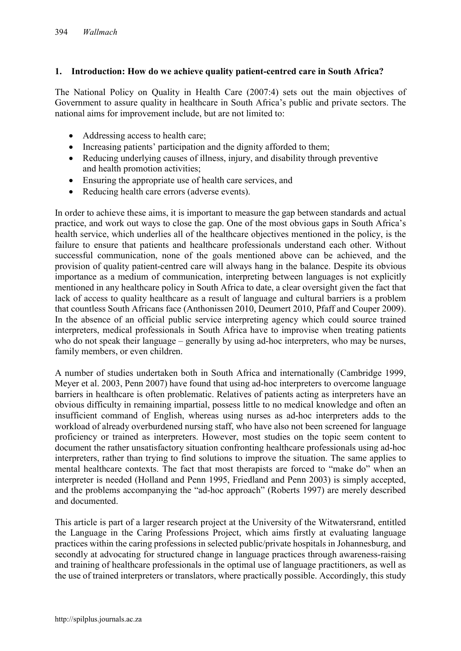## **1. Introduction: How do we achieve quality patient-centred care in South Africa?**

The National Policy on Quality in Health Care (2007:4) sets out the main objectives of Government to assure quality in healthcare in South Africa's public and private sectors. The national aims for improvement include, but are not limited to:

- Addressing access to health care;
- Increasing patients' participation and the dignity afforded to them;
- Reducing underlying causes of illness, injury, and disability through preventive and health promotion activities;
- Ensuring the appropriate use of health care services, and
- Reducing health care errors (adverse events).

In order to achieve these aims, it is important to measure the gap between standards and actual practice, and work out ways to close the gap. One of the most obvious gaps in South Africa's health service, which underlies all of the healthcare objectives mentioned in the policy, is the failure to ensure that patients and healthcare professionals understand each other. Without successful communication, none of the goals mentioned above can be achieved, and the provision of quality patient-centred care will always hang in the balance. Despite its obvious importance as a medium of communication, interpreting between languages is not explicitly mentioned in any healthcare policy in South Africa to date, a clear oversight given the fact that lack of access to quality healthcare as a result of language and cultural barriers is a problem that countless South Africans face (Anthonissen 2010, Deumert 2010, Pfaff and Couper 2009). In the absence of an official public service interpreting agency which could source trained interpreters, medical professionals in South Africa have to improvise when treating patients who do not speak their language – generally by using ad-hoc interpreters, who may be nurses, family members, or even children.

A number of studies undertaken both in South Africa and internationally (Cambridge 1999, Meyer et al. 2003, Penn 2007) have found that using ad-hoc interpreters to overcome language barriers in healthcare is often problematic. Relatives of patients acting as interpreters have an obvious difficulty in remaining impartial, possess little to no medical knowledge and often an insufficient command of English, whereas using nurses as ad-hoc interpreters adds to the workload of already overburdened nursing staff, who have also not been screened for language proficiency or trained as interpreters. However, most studies on the topic seem content to document the rather unsatisfactory situation confronting healthcare professionals using ad-hoc interpreters, rather than trying to find solutions to improve the situation. The same applies to mental healthcare contexts. The fact that most therapists are forced to "make do" when an interpreter is needed (Holland and Penn 1995, Friedland and Penn 2003) is simply accepted, and the problems accompanying the "ad-hoc approach" (Roberts 1997) are merely described and documented.

This article is part of a larger research project at the University of the Witwatersrand, entitled the Language in the Caring Professions Project, which aims firstly at evaluating language practices within the caring professions in selected public/private hospitals in Johannesburg, and secondly at advocating for structured change in language practices through awareness-raising and training of healthcare professionals in the optimal use of language practitioners, as well as the use of trained interpreters or translators, where practically possible. Accordingly, this study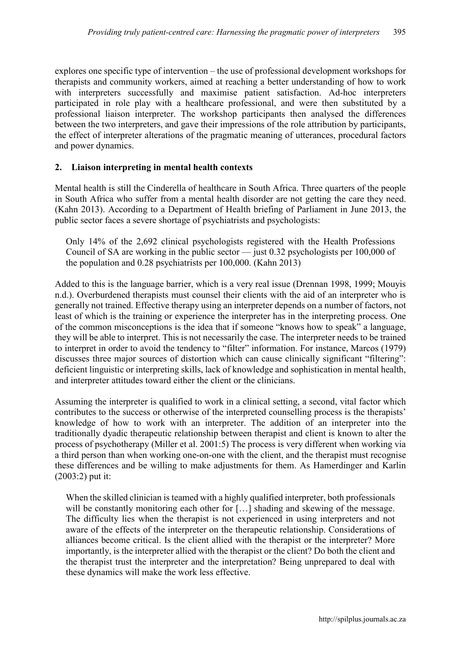explores one specific type of intervention – the use of professional development workshops for therapists and community workers, aimed at reaching a better understanding of how to work with interpreters successfully and maximise patient satisfaction. Ad-hoc interpreters participated in role play with a healthcare professional, and were then substituted by a professional liaison interpreter. The workshop participants then analysed the differences between the two interpreters, and gave their impressions of the role attribution by participants, the effect of interpreter alterations of the pragmatic meaning of utterances, procedural factors and power dynamics.

## **2. Liaison interpreting in mental health contexts**

Mental health is still the Cinderella of healthcare in South Africa. Three quarters of the people in South Africa who suffer from a mental health disorder are not getting the care they need. (Kahn 2013). According to a Department of Health briefing of Parliament in June 2013, the public sector faces a severe shortage of psychiatrists and psychologists:

Only 14% of the 2,692 clinical psychologists registered with the Health Professions Council of SA are working in the public sector — just 0.32 psychologists per 100,000 of the population and 0.28 psychiatrists per 100,000. (Kahn 2013)

Added to this is the language barrier, which is a very real issue (Drennan 1998, 1999; Mouyis n.d.). Overburdened therapists must counsel their clients with the aid of an interpreter who is generally not trained. Effective therapy using an interpreter depends on a number of factors, not least of which is the training or experience the interpreter has in the interpreting process. One of the common misconceptions is the idea that if someone "knows how to speak" a language, they will be able to interpret. This is not necessarily the case. The interpreter needs to be trained to interpret in order to avoid the tendency to "filter" information. For instance, Marcos (1979) discusses three major sources of distortion which can cause clinically significant "filtering": deficient linguistic or interpreting skills, lack of knowledge and sophistication in mental health, and interpreter attitudes toward either the client or the clinicians.

Assuming the interpreter is qualified to work in a clinical setting, a second, vital factor which contributes to the success or otherwise of the interpreted counselling process is the therapists' knowledge of how to work with an interpreter. The addition of an interpreter into the traditionally dyadic therapeutic relationship between therapist and client is known to alter the process of psychotherapy (Miller et al. 2001:5) The process is very different when working via a third person than when working one-on-one with the client, and the therapist must recognise these differences and be willing to make adjustments for them. As Hamerdinger and Karlin (2003:2) put it:

When the skilled clinician is teamed with a highly qualified interpreter, both professionals will be constantly monitoring each other for [...] shading and skewing of the message. The difficulty lies when the therapist is not experienced in using interpreters and not aware of the effects of the interpreter on the therapeutic relationship. Considerations of alliances become critical. Is the client allied with the therapist or the interpreter? More importantly, is the interpreter allied with the therapist or the client? Do both the client and the therapist trust the interpreter and the interpretation? Being unprepared to deal with these dynamics will make the work less effective.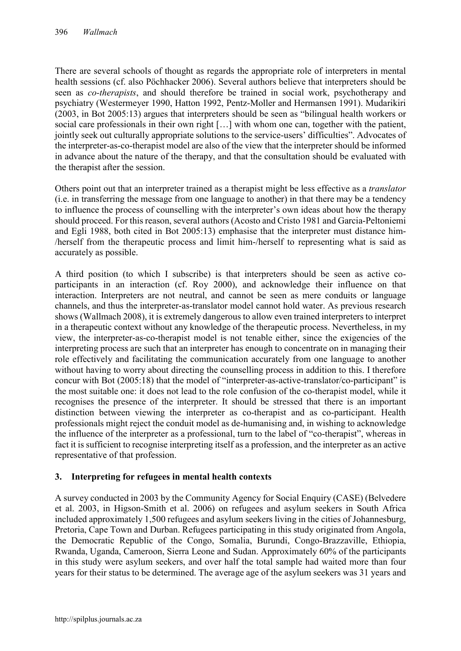There are several schools of thought as regards the appropriate role of interpreters in mental health sessions (cf. also Pöchhacker 2006). Several authors believe that interpreters should be seen as *co-therapists*, and should therefore be trained in social work, psychotherapy and psychiatry (Westermeyer 1990, Hatton 1992, Pentz-Moller and Hermansen 1991). Mudarikiri (2003, in Bot 2005:13) argues that interpreters should be seen as "bilingual health workers or social care professionals in their own right […] with whom one can, together with the patient, jointly seek out culturally appropriate solutions to the service-users' difficulties". Advocates of the interpreter-as-co-therapist model are also of the view that the interpreter should be informed in advance about the nature of the therapy, and that the consultation should be evaluated with the therapist after the session.

Others point out that an interpreter trained as a therapist might be less effective as a *translator*  (i.e. in transferring the message from one language to another) in that there may be a tendency to influence the process of counselling with the interpreter's own ideas about how the therapy should proceed. For this reason, several authors (Acosto and Cristo 1981 and Garcia-Peltoniemi and Egli 1988, both cited in Bot 2005:13) emphasise that the interpreter must distance him- /herself from the therapeutic process and limit him-/herself to representing what is said as accurately as possible.

A third position (to which I subscribe) is that interpreters should be seen as active coparticipants in an interaction (cf. Roy 2000), and acknowledge their influence on that interaction. Interpreters are not neutral, and cannot be seen as mere conduits or language channels, and thus the interpreter-as-translator model cannot hold water. As previous research shows (Wallmach 2008), it is extremely dangerous to allow even trained interpreters to interpret in a therapeutic context without any knowledge of the therapeutic process. Nevertheless, in my view, the interpreter-as-co-therapist model is not tenable either, since the exigencies of the interpreting process are such that an interpreter has enough to concentrate on in managing their role effectively and facilitating the communication accurately from one language to another without having to worry about directing the counselling process in addition to this. I therefore concur with Bot (2005:18) that the model of "interpreter-as-active-translator/co-participant" is the most suitable one: it does not lead to the role confusion of the co-therapist model, while it recognises the presence of the interpreter. It should be stressed that there is an important distinction between viewing the interpreter as co-therapist and as co-participant. Health professionals might reject the conduit model as de-humanising and, in wishing to acknowledge the influence of the interpreter as a professional, turn to the label of "co-therapist", whereas in fact it is sufficient to recognise interpreting itself as a profession, and the interpreter as an active representative of that profession.

# **3. Interpreting for refugees in mental health contexts**

A survey conducted in 2003 by the Community Agency for Social Enquiry (CASE) (Belvedere et al. 2003, in Higson-Smith et al. 2006) on refugees and asylum seekers in South Africa included approximately 1,500 refugees and asylum seekers living in the cities of Johannesburg, Pretoria, Cape Town and Durban. Refugees participating in this study originated from Angola, the Democratic Republic of the Congo, Somalia, Burundi, Congo-Brazzaville, Ethiopia, Rwanda, Uganda, Cameroon, Sierra Leone and Sudan. Approximately 60% of the participants in this study were asylum seekers, and over half the total sample had waited more than four years for their status to be determined. The average age of the asylum seekers was 31 years and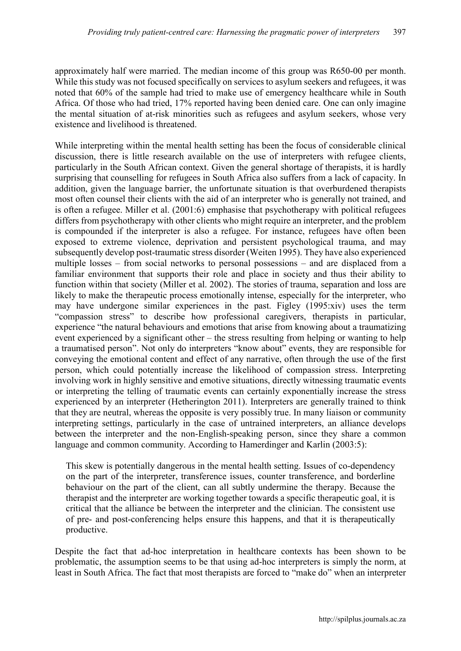approximately half were married. The median income of this group was R650-00 per month. While this study was not focused specifically on services to asylum seekers and refugees, it was noted that 60% of the sample had tried to make use of emergency healthcare while in South Africa. Of those who had tried, 17% reported having been denied care. One can only imagine the mental situation of at-risk minorities such as refugees and asylum seekers, whose very existence and livelihood is threatened.

While interpreting within the mental health setting has been the focus of considerable clinical discussion, there is little research available on the use of interpreters with refugee clients, particularly in the South African context. Given the general shortage of therapists, it is hardly surprising that counselling for refugees in South Africa also suffers from a lack of capacity. In addition, given the language barrier, the unfortunate situation is that overburdened therapists most often counsel their clients with the aid of an interpreter who is generally not trained, and is often a refugee. Miller et al. (2001:6) emphasise that psychotherapy with political refugees differs from psychotherapy with other clients who might require an interpreter, and the problem is compounded if the interpreter is also a refugee. For instance, refugees have often been exposed to extreme violence, deprivation and persistent psychological trauma, and may subsequently develop post-traumatic stress disorder (Weiten 1995). They have also experienced multiple losses – from social networks to personal possessions – and are displaced from a familiar environment that supports their role and place in society and thus their ability to function within that society (Miller et al. 2002). The stories of trauma, separation and loss are likely to make the therapeutic process emotionally intense, especially for the interpreter, who may have undergone similar experiences in the past. Figley (1995:xiv) uses the term "compassion stress" to describe how professional caregivers, therapists in particular, experience "the natural behaviours and emotions that arise from knowing about a traumatizing event experienced by a significant other – the stress resulting from helping or wanting to help a traumatised person". Not only do interpreters "know about" events, they are responsible for conveying the emotional content and effect of any narrative, often through the use of the first person, which could potentially increase the likelihood of compassion stress. Interpreting involving work in highly sensitive and emotive situations, directly witnessing traumatic events or interpreting the telling of traumatic events can certainly exponentially increase the stress experienced by an interpreter (Hetherington 2011). Interpreters are generally trained to think that they are neutral, whereas the opposite is very possibly true. In many liaison or community interpreting settings, particularly in the case of untrained interpreters, an alliance develops between the interpreter and the non-English-speaking person, since they share a common language and common community. According to Hamerdinger and Karlin (2003:5):

This skew is potentially dangerous in the mental health setting. Issues of co-dependency on the part of the interpreter, transference issues, counter transference, and borderline behaviour on the part of the client, can all subtly undermine the therapy. Because the therapist and the interpreter are working together towards a specific therapeutic goal, it is critical that the alliance be between the interpreter and the clinician. The consistent use of pre- and post-conferencing helps ensure this happens, and that it is therapeutically productive.

Despite the fact that ad-hoc interpretation in healthcare contexts has been shown to be problematic, the assumption seems to be that using ad-hoc interpreters is simply the norm, at least in South Africa. The fact that most therapists are forced to "make do" when an interpreter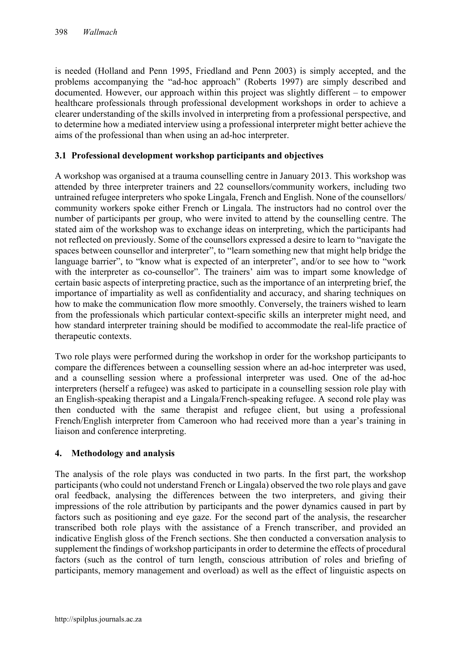is needed (Holland and Penn 1995, Friedland and Penn 2003) is simply accepted, and the problems accompanying the "ad-hoc approach" (Roberts 1997) are simply described and documented. However, our approach within this project was slightly different – to empower healthcare professionals through professional development workshops in order to achieve a clearer understanding of the skills involved in interpreting from a professional perspective, and to determine how a mediated interview using a professional interpreter might better achieve the aims of the professional than when using an ad-hoc interpreter.

## **3.1 Professional development workshop participants and objectives**

A workshop was organised at a trauma counselling centre in January 2013. This workshop was attended by three interpreter trainers and 22 counsellors/community workers, including two untrained refugee interpreters who spoke Lingala, French and English. None of the counsellors/ community workers spoke either French or Lingala. The instructors had no control over the number of participants per group, who were invited to attend by the counselling centre. The stated aim of the workshop was to exchange ideas on interpreting, which the participants had not reflected on previously. Some of the counsellors expressed a desire to learn to "navigate the spaces between counsellor and interpreter", to "learn something new that might help bridge the language barrier", to "know what is expected of an interpreter", and/or to see how to "work" with the interpreter as co-counsellor". The trainers' aim was to impart some knowledge of certain basic aspects of interpreting practice, such as the importance of an interpreting brief, the importance of impartiality as well as confidentiality and accuracy, and sharing techniques on how to make the communication flow more smoothly. Conversely, the trainers wished to learn from the professionals which particular context-specific skills an interpreter might need, and how standard interpreter training should be modified to accommodate the real-life practice of therapeutic contexts.

Two role plays were performed during the workshop in order for the workshop participants to compare the differences between a counselling session where an ad-hoc interpreter was used, and a counselling session where a professional interpreter was used. One of the ad-hoc interpreters (herself a refugee) was asked to participate in a counselling session role play with an English-speaking therapist and a Lingala/French-speaking refugee. A second role play was then conducted with the same therapist and refugee client, but using a professional French/English interpreter from Cameroon who had received more than a year's training in liaison and conference interpreting.

# **4. Methodology and analysis**

The analysis of the role plays was conducted in two parts. In the first part, the workshop participants (who could not understand French or Lingala) observed the two role plays and gave oral feedback, analysing the differences between the two interpreters, and giving their impressions of the role attribution by participants and the power dynamics caused in part by factors such as positioning and eye gaze. For the second part of the analysis, the researcher transcribed both role plays with the assistance of a French transcriber, and provided an indicative English gloss of the French sections. She then conducted a conversation analysis to supplement the findings of workshop participants in order to determine the effects of procedural factors (such as the control of turn length, conscious attribution of roles and briefing of participants, memory management and overload) as well as the effect of linguistic aspects on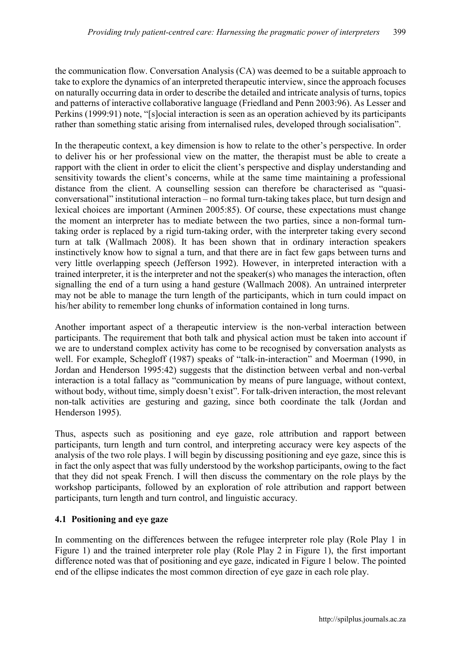the communication flow. Conversation Analysis (CA) was deemed to be a suitable approach to take to explore the dynamics of an interpreted therapeutic interview, since the approach focuses on naturally occurring data in order to describe the detailed and intricate analysis of turns, topics and patterns of interactive collaborative language (Friedland and Penn 2003:96). As Lesser and Perkins (1999:91) note, "[s]ocial interaction is seen as an operation achieved by its participants rather than something static arising from internalised rules, developed through socialisation".

In the therapeutic context, a key dimension is how to relate to the other's perspective. In order to deliver his or her professional view on the matter, the therapist must be able to create a rapport with the client in order to elicit the client's perspective and display understanding and sensitivity towards the client's concerns, while at the same time maintaining a professional distance from the client. A counselling session can therefore be characterised as "quasiconversational" institutional interaction – no formal turn-taking takes place, but turn design and lexical choices are important (Arminen 2005:85). Of course, these expectations must change the moment an interpreter has to mediate between the two parties, since a non-formal turntaking order is replaced by a rigid turn-taking order, with the interpreter taking every second turn at talk (Wallmach 2008). It has been shown that in ordinary interaction speakers instinctively know how to signal a turn, and that there are in fact few gaps between turns and very little overlapping speech (Jefferson 1992). However, in interpreted interaction with a trained interpreter, it is the interpreter and not the speaker(s) who manages the interaction, often signalling the end of a turn using a hand gesture (Wallmach 2008). An untrained interpreter may not be able to manage the turn length of the participants, which in turn could impact on his/her ability to remember long chunks of information contained in long turns.

Another important aspect of a therapeutic interview is the non-verbal interaction between participants. The requirement that both talk and physical action must be taken into account if we are to understand complex activity has come to be recognised by conversation analysts as well. For example, Schegloff (1987) speaks of "talk-in-interaction" and Moerman (1990, in Jordan and Henderson 1995:42) suggests that the distinction between verbal and non-verbal interaction is a total fallacy as "communication by means of pure language, without context, without body, without time, simply doesn't exist". For talk-driven interaction, the most relevant non-talk activities are gesturing and gazing, since both coordinate the talk (Jordan and Henderson 1995).

Thus, aspects such as positioning and eye gaze, role attribution and rapport between participants, turn length and turn control, and interpreting accuracy were key aspects of the analysis of the two role plays. I will begin by discussing positioning and eye gaze, since this is in fact the only aspect that was fully understood by the workshop participants, owing to the fact that they did not speak French. I will then discuss the commentary on the role plays by the workshop participants, followed by an exploration of role attribution and rapport between participants, turn length and turn control, and linguistic accuracy.

# **4.1 Positioning and eye gaze**

In commenting on the differences between the refugee interpreter role play (Role Play 1 in Figure 1) and the trained interpreter role play (Role Play 2 in Figure 1), the first important difference noted was that of positioning and eye gaze, indicated in Figure 1 below. The pointed end of the ellipse indicates the most common direction of eye gaze in each role play.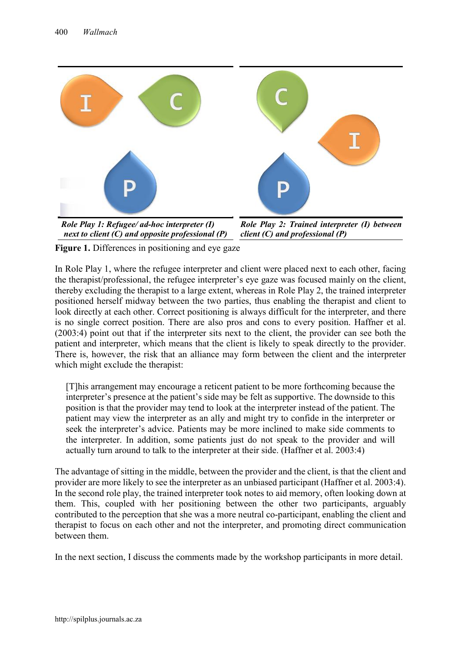

**Figure 1.** Differences in positioning and eye gaze

In Role Play 1, where the refugee interpreter and client were placed next to each other, facing the therapist/professional, the refugee interpreter's eye gaze was focused mainly on the client, thereby excluding the therapist to a large extent, whereas in Role Play 2, the trained interpreter positioned herself midway between the two parties, thus enabling the therapist and client to look directly at each other. Correct positioning is always difficult for the interpreter, and there is no single correct position. There are also pros and cons to every position. Haffner et al. (2003:4) point out that if the interpreter sits next to the client, the provider can see both the patient and interpreter, which means that the client is likely to speak directly to the provider. There is, however, the risk that an alliance may form between the client and the interpreter which might exclude the therapist:

[T]his arrangement may encourage a reticent patient to be more forthcoming because the interpreter's presence at the patient's side may be felt as supportive. The downside to this position is that the provider may tend to look at the interpreter instead of the patient. The patient may view the interpreter as an ally and might try to confide in the interpreter or seek the interpreter's advice. Patients may be more inclined to make side comments to the interpreter. In addition, some patients just do not speak to the provider and will actually turn around to talk to the interpreter at their side. (Haffner et al. 2003:4)

The advantage of sitting in the middle, between the provider and the client, is that the client and provider are more likely to see the interpreter as an unbiased participant (Haffner et al. 2003:4). In the second role play, the trained interpreter took notes to aid memory, often looking down at them. This, coupled with her positioning between the other two participants, arguably contributed to the perception that she was a more neutral co-participant, enabling the client and therapist to focus on each other and not the interpreter, and promoting direct communication between them.

In the next section, I discuss the comments made by the workshop participants in more detail.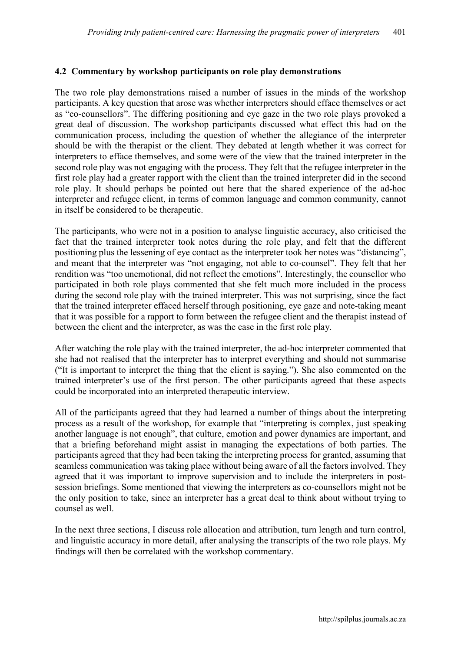## **4.2 Commentary by workshop participants on role play demonstrations**

The two role play demonstrations raised a number of issues in the minds of the workshop participants. A key question that arose was whether interpreters should efface themselves or act as "co-counsellors". The differing positioning and eye gaze in the two role plays provoked a great deal of discussion. The workshop participants discussed what effect this had on the communication process, including the question of whether the allegiance of the interpreter should be with the therapist or the client. They debated at length whether it was correct for interpreters to efface themselves, and some were of the view that the trained interpreter in the second role play was not engaging with the process. They felt that the refugee interpreter in the first role play had a greater rapport with the client than the trained interpreter did in the second role play. It should perhaps be pointed out here that the shared experience of the ad-hoc interpreter and refugee client, in terms of common language and common community, cannot in itself be considered to be therapeutic.

The participants, who were not in a position to analyse linguistic accuracy, also criticised the fact that the trained interpreter took notes during the role play, and felt that the different positioning plus the lessening of eye contact as the interpreter took her notes was "distancing", and meant that the interpreter was "not engaging, not able to co-counsel". They felt that her rendition was "too unemotional, did not reflect the emotions". Interestingly, the counsellor who participated in both role plays commented that she felt much more included in the process during the second role play with the trained interpreter. This was not surprising, since the fact that the trained interpreter effaced herself through positioning, eye gaze and note-taking meant that it was possible for a rapport to form between the refugee client and the therapist instead of between the client and the interpreter, as was the case in the first role play.

After watching the role play with the trained interpreter, the ad-hoc interpreter commented that she had not realised that the interpreter has to interpret everything and should not summarise ("It is important to interpret the thing that the client is saying."). She also commented on the trained interpreter's use of the first person. The other participants agreed that these aspects could be incorporated into an interpreted therapeutic interview.

All of the participants agreed that they had learned a number of things about the interpreting process as a result of the workshop, for example that "interpreting is complex, just speaking another language is not enough", that culture, emotion and power dynamics are important, and that a briefing beforehand might assist in managing the expectations of both parties. The participants agreed that they had been taking the interpreting process for granted, assuming that seamless communication was taking place without being aware of all the factors involved. They agreed that it was important to improve supervision and to include the interpreters in postsession briefings. Some mentioned that viewing the interpreters as co-counsellors might not be the only position to take, since an interpreter has a great deal to think about without trying to counsel as well.

In the next three sections, I discuss role allocation and attribution, turn length and turn control, and linguistic accuracy in more detail, after analysing the transcripts of the two role plays. My findings will then be correlated with the workshop commentary.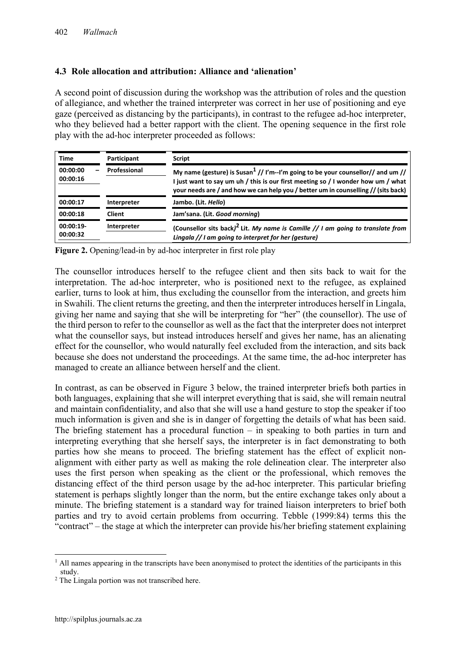## **4.3 Role allocation and attribution: Alliance and 'alienation'**

A second point of discussion during the workshop was the attribution of roles and the question of allegiance, and whether the trained interpreter was correct in her use of positioning and eye gaze (perceived as distancing by the participants), in contrast to the refugee ad-hoc interpreter, who they believed had a better rapport with the client. The opening sequence in the first role play with the ad-hoc interpreter proceeded as follows:

| <b>Time</b>             | Participant   | <b>Script</b>                                                                                                                                                                                                                                                         |  |
|-------------------------|---------------|-----------------------------------------------------------------------------------------------------------------------------------------------------------------------------------------------------------------------------------------------------------------------|--|
| 00:00:00<br>00:00:16    | Professional  | My name (gesture) is Susan <sup>1</sup> // I'm--I'm going to be your counsellor// and um //<br>I just want to say um uh / this is our first meeting so / I wonder how um / what<br>your needs are / and how we can help you / better um in counselling // (sits back) |  |
| 00:00:17                | Interpreter   | Jambo. (Lit. Hello)                                                                                                                                                                                                                                                   |  |
| 00:00:18                | <b>Client</b> | Jam'sana. (Lit. Good morning)                                                                                                                                                                                                                                         |  |
| $00:00:19-$<br>00:00:32 | Interpreter   | (Counsellor sits back) <sup>2</sup> Lit. My name is Camille // I am going to translate from<br>Lingala // I am going to interpret for her (gesture)                                                                                                                   |  |

**Figure 2.** Opening/lead-in by ad-hoc interpreter in first role play

The counsellor introduces herself to the refugee client and then sits back to wait for the interpretation. The ad-hoc interpreter, who is positioned next to the refugee, as explained earlier, turns to look at him, thus excluding the counsellor from the interaction, and greets him in Swahili. The client returns the greeting, and then the interpreter introduces herself in Lingala, giving her name and saying that she will be interpreting for "her" (the counsellor). The use of the third person to refer to the counsellor as well as the fact that the interpreter does not interpret what the counsellor says, but instead introduces herself and gives her name, has an alienating effect for the counsellor, who would naturally feel excluded from the interaction, and sits back because she does not understand the proceedings. At the same time, the ad-hoc interpreter has managed to create an alliance between herself and the client.

In contrast, as can be observed in Figure 3 below, the trained interpreter briefs both parties in both languages, explaining that she will interpret everything that is said, she will remain neutral and maintain confidentiality, and also that she will use a hand gesture to stop the speaker if too much information is given and she is in danger of forgetting the details of what has been said. The briefing statement has a procedural function  $-$  in speaking to both parties in turn and interpreting everything that she herself says, the interpreter is in fact demonstrating to both parties how she means to proceed. The briefing statement has the effect of explicit nonalignment with either party as well as making the role delineation clear. The interpreter also uses the first person when speaking as the client or the professional, which removes the distancing effect of the third person usage by the ad-hoc interpreter. This particular briefing statement is perhaps slightly longer than the norm, but the entire exchange takes only about a minute. The briefing statement is a standard way for trained liaison interpreters to brief both parties and try to avoid certain problems from occurring. Tebble (1999:84) terms this the "contract" – the stage at which the interpreter can provide his/her briefing statement explaining

1

 $<sup>1</sup>$  All names appearing in the transcripts have been anonymised to protect the identities of the participants in this</sup> study.

<sup>&</sup>lt;sup>2</sup> The Lingala portion was not transcribed here.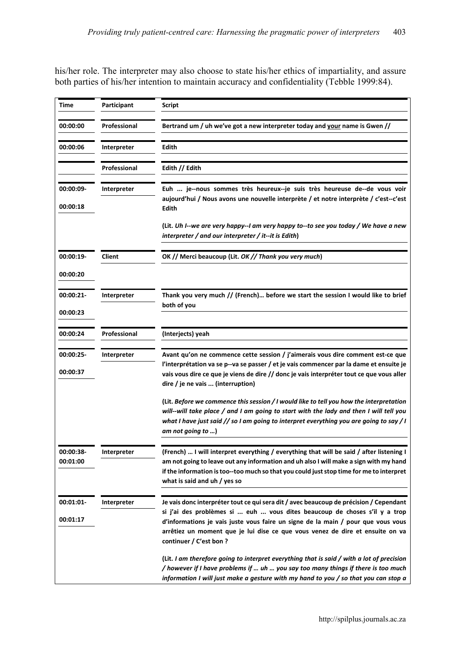his/her role. The interpreter may also choose to state his/her ethics of impartiality, and assure both parties of his/her intention to maintain accuracy and confidentiality (Tebble 1999:84).

| Time      | Participant        | <b>Script</b>                                                                                                                                                                                                                                                         |  |
|-----------|--------------------|-----------------------------------------------------------------------------------------------------------------------------------------------------------------------------------------------------------------------------------------------------------------------|--|
| 00:00:00  | Professional       | Bertrand um / uh we've got a new interpreter today and your name is Gwen //                                                                                                                                                                                           |  |
| 00:00:06  | <b>Interpreter</b> | Edith                                                                                                                                                                                                                                                                 |  |
|           | Professional       | Edith // Edith                                                                                                                                                                                                                                                        |  |
| 00:00:09- | Interpreter        | Euh  je--nous sommes très heureux--je suis très heureuse de--de vous voir<br>aujourd'hui / Nous avons une nouvelle interprète / et notre interprète / c'est--c'est                                                                                                    |  |
| 00:00:18  |                    | Edith                                                                                                                                                                                                                                                                 |  |
|           |                    | (Lit. Uh I--we are very happy--I am very happy to--to see you today / We have a new<br>interpreter / and our interpreter / it--it is Edith)                                                                                                                           |  |
| 00:00:19- | Client             | OK // Merci beaucoup (Lit. OK // Thank you very much)                                                                                                                                                                                                                 |  |
| 00:00:20  |                    |                                                                                                                                                                                                                                                                       |  |
| 00:00:21- | Interpreter        | Thank you very much // (French) before we start the session I would like to brief                                                                                                                                                                                     |  |
| 00:00:23  |                    | both of you                                                                                                                                                                                                                                                           |  |
| 00:00:24  | Professional       | (Interjects) yeah                                                                                                                                                                                                                                                     |  |
| 00:00:25- | Interpreter        | Avant qu'on ne commence cette session / j'aimerais vous dire comment est-ce que                                                                                                                                                                                       |  |
| 00:00:37  |                    | l'interprétation va se p--va se passer / et je vais commencer par la dame et ensuite je<br>vais vous dire ce que je viens de dire // donc je vais interpréter tout ce que vous aller<br>dire / je ne vais  (interruption)                                             |  |
|           |                    | (Lit. Before we commence this session / I would like to tell you how the interpretation                                                                                                                                                                               |  |
|           |                    | will--will take place / and I am going to start with the lady and then I will tell you<br>what I have just said // so I am going to interpret everything you are going to say / I<br>am not going to )                                                                |  |
| 00:00:38- | Interpreter        | (French)  I will interpret everything / everything that will be said / after listening I                                                                                                                                                                              |  |
| 00:01:00  |                    | am not going to leave out any information and uh also I will make a sign with my hand<br>if the information is too--too much so that you could just stop time for me to interpret<br>what is said and uh / yes so                                                     |  |
| 00:01:01- | Interpreter        | Je vais donc interpréter tout ce qui sera dit / avec beaucoup de précision / Cependant                                                                                                                                                                                |  |
| 00:01:17  |                    | si j'ai des problèmes si  euh  vous dites beaucoup de choses s'il y a trop                                                                                                                                                                                            |  |
|           |                    | d'informations je vais juste vous faire un signe de la main / pour que vous vous<br>arrêtiez un moment que je lui dise ce que vous venez de dire et ensuite on va<br>continuer / C'est bon ?                                                                          |  |
|           |                    | (Lit. I am therefore going to interpret everything that is said / with a lot of precision<br>/ however if I have problems if  uh  you say too many things if there is too much<br>information I will just make a gesture with my hand to you / so that you can stop a |  |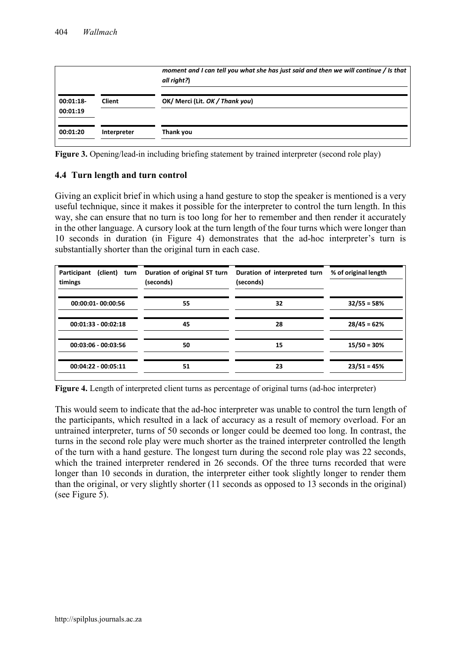|                         |               | moment and I can tell you what she has just said and then we will continue / Is that<br>all right?) |
|-------------------------|---------------|-----------------------------------------------------------------------------------------------------|
| $00:01:18-$<br>00:01:19 | <b>Client</b> | OK/ Merci (Lit. OK / Thank you)                                                                     |
| 00:01:20                | Interpreter   | Thank you                                                                                           |

**Figure 3.** Opening/lead-in including briefing statement by trained interpreter (second role play)

#### **4.4 Turn length and turn control**

Giving an explicit brief in which using a hand gesture to stop the speaker is mentioned is a very useful technique, since it makes it possible for the interpreter to control the turn length. In this way, she can ensure that no turn is too long for her to remember and then render it accurately in the other language. A cursory look at the turn length of the four turns which were longer than 10 seconds in duration (in Figure 4) demonstrates that the ad-hoc interpreter's turn is substantially shorter than the original turn in each case.

| (client)<br>Participant<br>turn<br>timings | Duration of original ST turn<br>(seconds) | Duration of interpreted turn<br>(seconds) | % of original length |
|--------------------------------------------|-------------------------------------------|-------------------------------------------|----------------------|
| 00:00:01-00:00:56                          | 55                                        | 32                                        | $32/55 = 58%$        |
| $00:01:33 - 00:02:18$                      | 45                                        | 28                                        | $28/45 = 62%$        |
| $00:03:06 - 00:03:56$                      | 50                                        | 15                                        | $15/50 = 30%$        |
| $00:04:22 - 00:05:11$                      | 51                                        | 23                                        | $23/51 = 45%$        |

**Figure 4.** Length of interpreted client turns as percentage of original turns (ad-hoc interpreter)

This would seem to indicate that the ad-hoc interpreter was unable to control the turn length of the participants, which resulted in a lack of accuracy as a result of memory overload. For an untrained interpreter, turns of 50 seconds or longer could be deemed too long. In contrast, the turns in the second role play were much shorter as the trained interpreter controlled the length of the turn with a hand gesture. The longest turn during the second role play was 22 seconds, which the trained interpreter rendered in 26 seconds. Of the three turns recorded that were longer than 10 seconds in duration, the interpreter either took slightly longer to render them than the original, or very slightly shorter (11 seconds as opposed to 13 seconds in the original) (see Figure 5).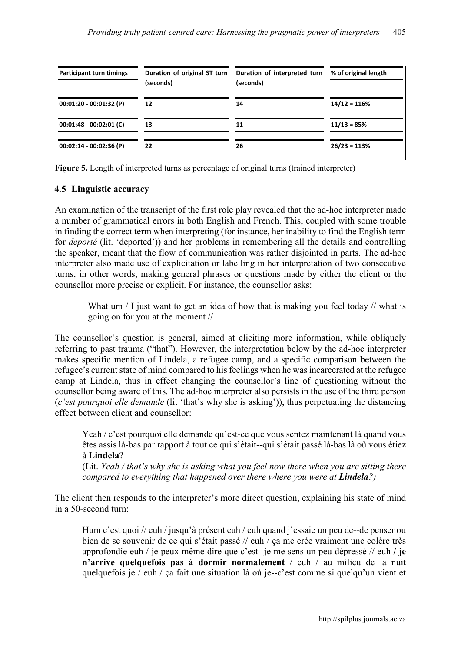| <b>Participant turn timings</b> | Duration of original ST turn<br>(seconds) | Duration of interpreted turn<br>(seconds) | % of original length |
|---------------------------------|-------------------------------------------|-------------------------------------------|----------------------|
| $00:01:20 - 00:01:32$ (P)       | 12                                        | 14                                        | $14/12 = 116%$       |
| $00:01:48 - 00:02:01$ (C)       | 13                                        | 11                                        | $11/13 = 85%$        |
| $00:02:14 - 00:02:36$ (P)       | 22                                        | 26                                        | $26/23 = 113%$       |

**Figure 5.** Length of interpreted turns as percentage of original turns (trained interpreter)

## **4.5 Linguistic accuracy**

An examination of the transcript of the first role play revealed that the ad-hoc interpreter made a number of grammatical errors in both English and French. This, coupled with some trouble in finding the correct term when interpreting (for instance, her inability to find the English term for *deporté* (lit. 'deported')) and her problems in remembering all the details and controlling the speaker, meant that the flow of communication was rather disjointed in parts. The ad-hoc interpreter also made use of explicitation or labelling in her interpretation of two consecutive turns, in other words, making general phrases or questions made by either the client or the counsellor more precise or explicit. For instance, the counsellor asks:

What um / I just want to get an idea of how that is making you feel today // what is going on for you at the moment //

The counsellor's question is general, aimed at eliciting more information, while obliquely referring to past trauma ("that"). However, the interpretation below by the ad-hoc interpreter makes specific mention of Lindela, a refugee camp, and a specific comparison between the refugee's current state of mind compared to his feelings when he was incarcerated at the refugee camp at Lindela, thus in effect changing the counsellor's line of questioning without the counsellor being aware of this. The ad-hoc interpreter also persists in the use of the third person (*c'est pourquoi elle demande* (lit 'that's why she is asking')), thus perpetuating the distancing effect between client and counsellor:

Yeah / c'est pourquoi elle demande qu'est-ce que vous sentez maintenant là quand vous êtes assis là-bas par rapport à tout ce qui s'était--qui s'était passé là-bas là où vous étiez à **Lindela**?

(Lit. *Yeah / that's why she is asking what you feel now there when you are sitting there compared to everything that happened over there where you were at Lindela?*)

The client then responds to the interpreter's more direct question, explaining his state of mind in a 50-second turn:

Hum c'est quoi // euh / jusqu'à présent euh / euh quand j'essaie un peu de--de penser ou bien de se souvenir de ce qui s'était passé // euh / ça me crée vraiment une colère très approfondie euh / je peux même dire que c'est--je me sens un peu dépressé // euh **/ je n'arrive quelquefois pas à dormir normalement** / euh / au milieu de la nuit quelquefois je / euh / ça fait une situation là où je--c'est comme si quelqu'un vient et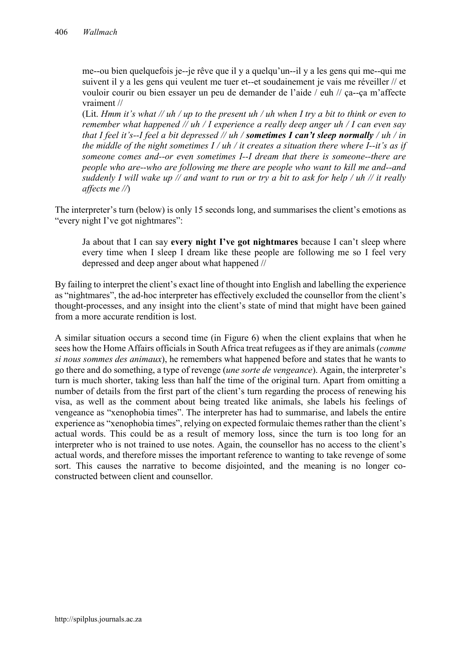me--ou bien quelquefois je--je rêve que il y a quelqu'un--il y a les gens qui me--qui me suivent il y a les gens qui veulent me tuer et--et soudainement je vais me réveiller // et vouloir courir ou bien essayer un peu de demander de l'aide / euh // ça--ça m'affecte vraiment //

(Lit. *Hmm it's what // uh / up to the present uh / uh when I try a bit to think or even to remember what happened // uh / I experience a really deep anger uh / I can even say that I feel it's--I feel a bit depressed // uh / sometimes I can't sleep normally / uh / in the middle of the night sometimes I / uh / it creates a situation there where I--it's as if someone comes and--or even sometimes I--I dream that there is someone--there are people who are--who are following me there are people who want to kill me and--and suddenly I will wake up // and want to run or try a bit to ask for help / uh // it really affects me //*)

The interpreter's turn (below) is only 15 seconds long, and summarises the client's emotions as "every night I've got nightmares":

Ja about that I can say **every night I've got nightmares** because I can't sleep where every time when I sleep I dream like these people are following me so I feel very depressed and deep anger about what happened //

By failing to interpret the client's exact line of thought into English and labelling the experience as "nightmares", the ad-hoc interpreter has effectively excluded the counsellor from the client's thought-processes, and any insight into the client's state of mind that might have been gained from a more accurate rendition is lost.

A similar situation occurs a second time (in Figure 6) when the client explains that when he sees how the Home Affairs officials in South Africa treat refugees as if they are animals (*comme si nous sommes des animaux*), he remembers what happened before and states that he wants to go there and do something, a type of revenge (*une sorte de vengeance*). Again, the interpreter's turn is much shorter, taking less than half the time of the original turn. Apart from omitting a number of details from the first part of the client's turn regarding the process of renewing his visa, as well as the comment about being treated like animals, she labels his feelings of vengeance as "xenophobia times". The interpreter has had to summarise, and labels the entire experience as "xenophobia times", relying on expected formulaic themes rather than the client's actual words. This could be as a result of memory loss, since the turn is too long for an interpreter who is not trained to use notes. Again, the counsellor has no access to the client's actual words, and therefore misses the important reference to wanting to take revenge of some sort. This causes the narrative to become disjointed, and the meaning is no longer coconstructed between client and counsellor.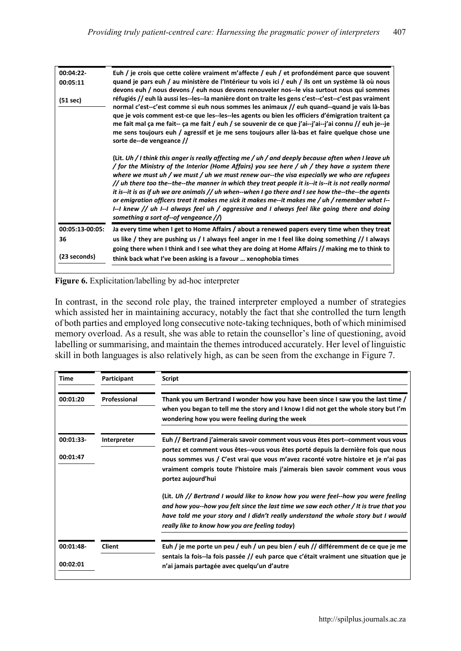| 00:04:22-<br>00:05:11<br>(51 sec)     | Euh / je crois que cette colère vraiment m'affecte / euh / et profondément parce que souvent<br>quand je pars euh / au ministère de l'Intérieur tu vois ici / euh / ils ont un système là où nous<br>devons euh / nous devons / euh nous devons renouveler nos--le visa surtout nous qui sommes<br>réfugiés // euh là aussi les--les--la manière dont on traite les gens c'est--c'est--c'est pas vraiment<br>normal c'est--c'est comme si euh nous sommes les animaux // euh quand--quand je vais là-bas<br>que je vois comment est-ce que les--les--les agents ou bien les officiers d'émigration traitent ça<br>me fait mal ça me fait-- ça me fait / euh / se souvenir de ce que j'ai--j'ai--j'ai connu // euh je--je<br>me sens toujours euh / agressif et je me sens toujours aller là-bas et faire quelque chose une<br>sorte de--de vengeance // |  |  |
|---------------------------------------|---------------------------------------------------------------------------------------------------------------------------------------------------------------------------------------------------------------------------------------------------------------------------------------------------------------------------------------------------------------------------------------------------------------------------------------------------------------------------------------------------------------------------------------------------------------------------------------------------------------------------------------------------------------------------------------------------------------------------------------------------------------------------------------------------------------------------------------------------------|--|--|
|                                       | (Lit. Uh / I think this anger is really affecting me / uh / and deeply because often when I leave uh<br>/ for the Ministry of the Interior (Home Affairs) you see here / uh / they have a system there<br>where we must uh / we must / uh we must renew our--the visa especially we who are refugees<br>// uh there too the--the--the manner in which they treat people it is--it is--it is not really normal<br>it is--it is as if uh we are animals // uh when--when I go there and I see how the--the--the agents<br>or emigration officers treat it makes me sick it makes me--it makes me / uh / remember what I--<br>I--I knew // uh I--I always feel uh / aggressive and I always feel like going there and doing<br>something a sort of--of vengeance $\sqrt{\ }$                                                                               |  |  |
| 00:05:13-00:05:<br>36<br>(23 seconds) | Ja every time when I get to Home Affairs / about a renewed papers every time when they treat<br>us like / they are pushing us / I always feel anger in me I feel like doing something // I always<br>going there when I think and I see what they are doing at Home Affairs // making me to think to<br>think back what I've been asking is a favour  xenophobia times                                                                                                                                                                                                                                                                                                                                                                                                                                                                                  |  |  |



In contrast, in the second role play, the trained interpreter employed a number of strategies which assisted her in maintaining accuracy, notably the fact that she controlled the turn length of both parties and employed long consecutive note-taking techniques, both of which minimised memory overload. As a result, she was able to retain the counsellor's line of questioning, avoid labelling or summarising, and maintain the themes introduced accurately. Her level of linguistic skill in both languages is also relatively high, as can be seen from the exchange in Figure 7.

| Time                  | Participant   | <b>Script</b>                                                                                                                                                                                                                                                                                                                                                         |
|-----------------------|---------------|-----------------------------------------------------------------------------------------------------------------------------------------------------------------------------------------------------------------------------------------------------------------------------------------------------------------------------------------------------------------------|
| 00:01:20              | Professional  | Thank you um Bertrand I wonder how you have been since I saw you the last time /<br>when you began to tell me the story and I know I did not get the whole story but I'm<br>wondering how you were feeling during the week                                                                                                                                            |
| 00:01:33-<br>00:01:47 | Interpreter   | Euh // Bertrand j'aimerais savoir comment vous vous êtes port--comment vous vous<br>portez et comment vous êtes--vous vous êtes porté depuis la dernière fois que nous<br>nous sommes vus / C'est vrai que vous m'avez raconté votre histoire et je n'ai pas<br>vraiment compris toute l'histoire mais j'aimerais bien savoir comment vous vous<br>portez aujourd'hui |
|                       |               | (Lit. Uh // Bertrand I would like to know how you were feel--how you were feeling<br>and how you--how you felt since the last time we saw each other $\prime$ It is true that you<br>have told me your story and I didn't really understand the whole story but I would<br>really like to know how you are feeling today)                                             |
| 00:01:48-<br>00:02:01 | <b>Client</b> | Euh / je me porte un peu / euh / un peu bien / euh // différemment de ce que je me<br>sentais la fois-la fois passée // euh parce que c'était vraiment une situation que je<br>n'ai jamais partagée avec quelqu'un d'autre                                                                                                                                            |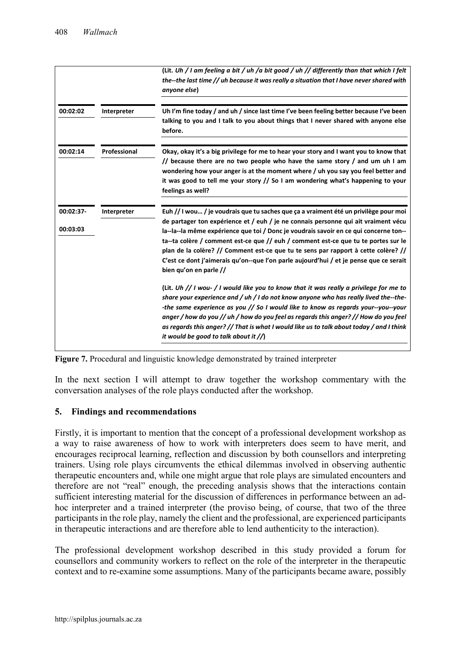|                       |              | (Lit. Uh / I am feeling a bit / uh /a bit good / uh // differently than that which I felt<br>the--the last time // uh because it was really a situation that I have never shared with<br>anyone else)                                                                                                                                                                                                                                                                                                                                                               |
|-----------------------|--------------|---------------------------------------------------------------------------------------------------------------------------------------------------------------------------------------------------------------------------------------------------------------------------------------------------------------------------------------------------------------------------------------------------------------------------------------------------------------------------------------------------------------------------------------------------------------------|
| 00:02:02              | Interpreter  | Uh I'm fine today / and uh / since last time I've been feeling better because I've been<br>talking to you and I talk to you about things that I never shared with anyone else<br>before.                                                                                                                                                                                                                                                                                                                                                                            |
| 00:02:14              | Professional | Okay, okay it's a big privilege for me to hear your story and I want you to know that<br>// because there are no two people who have the same story / and um uh I am<br>wondering how your anger is at the moment where / uh you say you feel better and<br>it was good to tell me your story // So I am wondering what's happening to your<br>feelings as well?                                                                                                                                                                                                    |
| 00:02:37-<br>00:03:03 | Interpreter  | Euh // I wou / je voudrais que tu saches que ça a vraiment été un privilège pour moi<br>de partager ton expérience et / euh / je ne connais personne qui ait vraiment vécu<br>la--la--la même expérience que toi / Donc je voudrais savoir en ce qui concerne ton--<br>ta--ta colère / comment est-ce que // euh / comment est-ce que tu te portes sur le<br>plan de la colère? // Comment est-ce que tu te sens par rapport à cette colère? //<br>C'est ce dont j'aimerais qu'on--que l'on parle aujourd'hui / et je pense que ce serait<br>bien qu'on en parle // |
|                       |              | (Lit. Uh // I wou- / I would like you to know that it was really a privilege for me to<br>share your experience and / uh / I do not know anyone who has really lived the--the-<br>-the same experience as you // So I would like to know as regards your--you--your<br>anger / how do you // uh / how do you feel as regards this anger? // How do you feel<br>as regards this anger? // That is what I would like us to talk about today / and I think<br>it would be good to talk about it $\sqrt{\ }$                                                            |

**Figure 7.** Procedural and linguistic knowledge demonstrated by trained interpreter

In the next section I will attempt to draw together the workshop commentary with the conversation analyses of the role plays conducted after the workshop.

# **5. Findings and recommendations**

Firstly, it is important to mention that the concept of a professional development workshop as a way to raise awareness of how to work with interpreters does seem to have merit, and encourages reciprocal learning, reflection and discussion by both counsellors and interpreting trainers. Using role plays circumvents the ethical dilemmas involved in observing authentic therapeutic encounters and, while one might argue that role plays are simulated encounters and therefore are not "real" enough, the preceding analysis shows that the interactions contain sufficient interesting material for the discussion of differences in performance between an adhoc interpreter and a trained interpreter (the proviso being, of course, that two of the three participants in the role play, namely the client and the professional, are experienced participants in therapeutic interactions and are therefore able to lend authenticity to the interaction).

The professional development workshop described in this study provided a forum for counsellors and community workers to reflect on the role of the interpreter in the therapeutic context and to re-examine some assumptions. Many of the participants became aware, possibly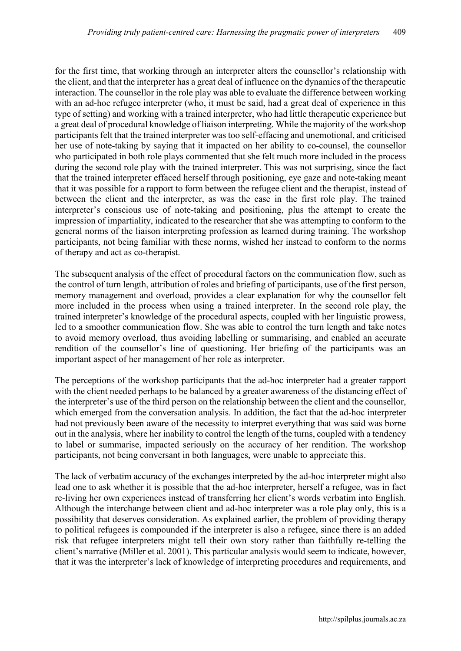for the first time, that working through an interpreter alters the counsellor's relationship with the client, and that the interpreter has a great deal of influence on the dynamics of the therapeutic interaction. The counsellor in the role play was able to evaluate the difference between working with an ad-hoc refugee interpreter (who, it must be said, had a great deal of experience in this type of setting) and working with a trained interpreter, who had little therapeutic experience but a great deal of procedural knowledge of liaison interpreting. While the majority of the workshop participants felt that the trained interpreter was too self-effacing and unemotional, and criticised her use of note-taking by saying that it impacted on her ability to co-counsel, the counsellor who participated in both role plays commented that she felt much more included in the process during the second role play with the trained interpreter. This was not surprising, since the fact that the trained interpreter effaced herself through positioning, eye gaze and note-taking meant that it was possible for a rapport to form between the refugee client and the therapist, instead of between the client and the interpreter, as was the case in the first role play. The trained interpreter's conscious use of note-taking and positioning, plus the attempt to create the impression of impartiality, indicated to the researcher that she was attempting to conform to the general norms of the liaison interpreting profession as learned during training. The workshop participants, not being familiar with these norms, wished her instead to conform to the norms of therapy and act as co-therapist.

The subsequent analysis of the effect of procedural factors on the communication flow, such as the control of turn length, attribution of roles and briefing of participants, use of the first person, memory management and overload, provides a clear explanation for why the counsellor felt more included in the process when using a trained interpreter. In the second role play, the trained interpreter's knowledge of the procedural aspects, coupled with her linguistic prowess, led to a smoother communication flow. She was able to control the turn length and take notes to avoid memory overload, thus avoiding labelling or summarising, and enabled an accurate rendition of the counsellor's line of questioning. Her briefing of the participants was an important aspect of her management of her role as interpreter.

The perceptions of the workshop participants that the ad-hoc interpreter had a greater rapport with the client needed perhaps to be balanced by a greater awareness of the distancing effect of the interpreter's use of the third person on the relationship between the client and the counsellor, which emerged from the conversation analysis. In addition, the fact that the ad-hoc interpreter had not previously been aware of the necessity to interpret everything that was said was borne out in the analysis, where her inability to control the length of the turns, coupled with a tendency to label or summarise, impacted seriously on the accuracy of her rendition. The workshop participants, not being conversant in both languages, were unable to appreciate this.

The lack of verbatim accuracy of the exchanges interpreted by the ad-hoc interpreter might also lead one to ask whether it is possible that the ad-hoc interpreter, herself a refugee, was in fact re-living her own experiences instead of transferring her client's words verbatim into English. Although the interchange between client and ad-hoc interpreter was a role play only, this is a possibility that deserves consideration. As explained earlier, the problem of providing therapy to political refugees is compounded if the interpreter is also a refugee, since there is an added risk that refugee interpreters might tell their own story rather than faithfully re-telling the client's narrative (Miller et al. 2001). This particular analysis would seem to indicate, however, that it was the interpreter's lack of knowledge of interpreting procedures and requirements, and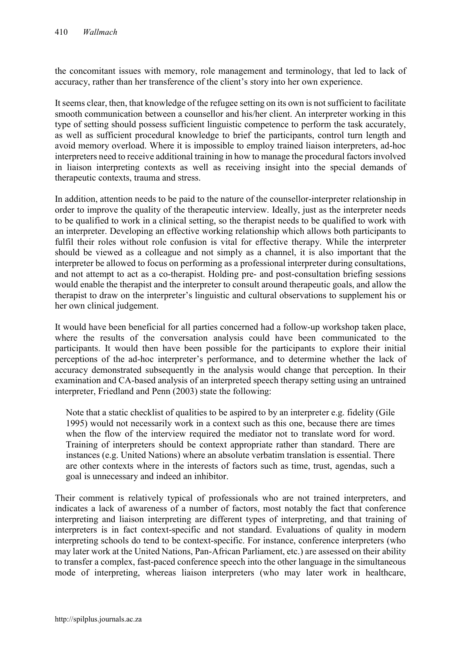the concomitant issues with memory, role management and terminology, that led to lack of accuracy, rather than her transference of the client's story into her own experience.

It seems clear, then, that knowledge of the refugee setting on its own is not sufficient to facilitate smooth communication between a counsellor and his/her client. An interpreter working in this type of setting should possess sufficient linguistic competence to perform the task accurately, as well as sufficient procedural knowledge to brief the participants, control turn length and avoid memory overload. Where it is impossible to employ trained liaison interpreters, ad-hoc interpreters need to receive additional training in how to manage the procedural factors involved in liaison interpreting contexts as well as receiving insight into the special demands of therapeutic contexts, trauma and stress.

In addition, attention needs to be paid to the nature of the counsellor-interpreter relationship in order to improve the quality of the therapeutic interview. Ideally, just as the interpreter needs to be qualified to work in a clinical setting, so the therapist needs to be qualified to work with an interpreter. Developing an effective working relationship which allows both participants to fulfil their roles without role confusion is vital for effective therapy. While the interpreter should be viewed as a colleague and not simply as a channel, it is also important that the interpreter be allowed to focus on performing as a professional interpreter during consultations, and not attempt to act as a co-therapist. Holding pre- and post-consultation briefing sessions would enable the therapist and the interpreter to consult around therapeutic goals, and allow the therapist to draw on the interpreter's linguistic and cultural observations to supplement his or her own clinical judgement.

It would have been beneficial for all parties concerned had a follow-up workshop taken place, where the results of the conversation analysis could have been communicated to the participants. It would then have been possible for the participants to explore their initial perceptions of the ad-hoc interpreter's performance, and to determine whether the lack of accuracy demonstrated subsequently in the analysis would change that perception. In their examination and CA-based analysis of an interpreted speech therapy setting using an untrained interpreter, Friedland and Penn (2003) state the following:

Note that a static checklist of qualities to be aspired to by an interpreter e.g. fidelity (Gile 1995) would not necessarily work in a context such as this one, because there are times when the flow of the interview required the mediator not to translate word for word. Training of interpreters should be context appropriate rather than standard. There are instances (e.g. United Nations) where an absolute verbatim translation is essential. There are other contexts where in the interests of factors such as time, trust, agendas, such a goal is unnecessary and indeed an inhibitor.

Their comment is relatively typical of professionals who are not trained interpreters, and indicates a lack of awareness of a number of factors, most notably the fact that conference interpreting and liaison interpreting are different types of interpreting, and that training of interpreters is in fact context-specific and not standard. Evaluations of quality in modern interpreting schools do tend to be context-specific. For instance, conference interpreters (who may later work at the United Nations, Pan-African Parliament, etc.) are assessed on their ability to transfer a complex, fast-paced conference speech into the other language in the simultaneous mode of interpreting, whereas liaison interpreters (who may later work in healthcare,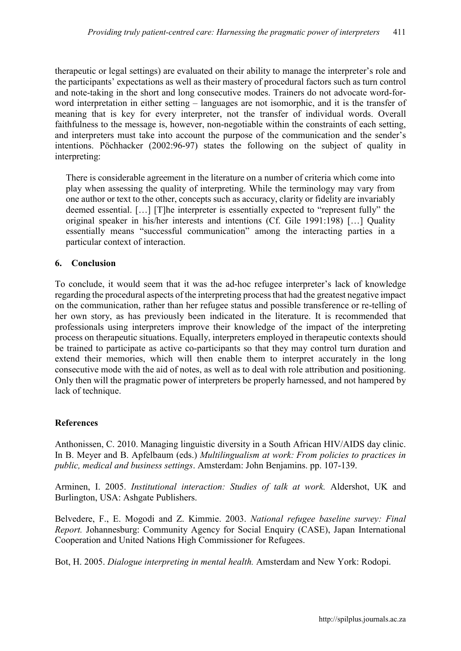therapeutic or legal settings) are evaluated on their ability to manage the interpreter's role and the participants' expectations as well as their mastery of procedural factors such as turn control and note-taking in the short and long consecutive modes. Trainers do not advocate word-forword interpretation in either setting – languages are not isomorphic, and it is the transfer of meaning that is key for every interpreter, not the transfer of individual words. Overall faithfulness to the message is, however, non-negotiable within the constraints of each setting, and interpreters must take into account the purpose of the communication and the sender's intentions. Pöchhacker (2002:96-97) states the following on the subject of quality in interpreting:

There is considerable agreement in the literature on a number of criteria which come into play when assessing the quality of interpreting. While the terminology may vary from one author or text to the other, concepts such as accuracy, clarity or fidelity are invariably deemed essential. […] [T]he interpreter is essentially expected to "represent fully" the original speaker in his/her interests and intentions (Cf. Gile 1991:198) […] Quality essentially means "successful communication" among the interacting parties in a particular context of interaction.

# **6. Conclusion**

To conclude, it would seem that it was the ad-hoc refugee interpreter's lack of knowledge regarding the procedural aspects of the interpreting process that had the greatest negative impact on the communication, rather than her refugee status and possible transference or re-telling of her own story, as has previously been indicated in the literature. It is recommended that professionals using interpreters improve their knowledge of the impact of the interpreting process on therapeutic situations. Equally, interpreters employed in therapeutic contexts should be trained to participate as active co-participants so that they may control turn duration and extend their memories, which will then enable them to interpret accurately in the long consecutive mode with the aid of notes, as well as to deal with role attribution and positioning. Only then will the pragmatic power of interpreters be properly harnessed, and not hampered by lack of technique.

# **References**

Anthonissen, C. 2010. Managing linguistic diversity in a South African HIV/AIDS day clinic. In B. Meyer and B. Apfelbaum (eds.) *Multilingualism at work: From policies to practices in public, medical and business settings*. Amsterdam: John Benjamins. pp. 107-139.

Arminen, I. 2005. *Institutional interaction: Studies of talk at work.* Aldershot, UK and Burlington, USA: Ashgate Publishers.

Belvedere, F., E. Mogodi and Z. Kimmie. 2003. *National refugee baseline survey: Final Report.* Johannesburg: Community Agency for Social Enquiry (CASE), Japan International Cooperation and United Nations High Commissioner for Refugees.

Bot, H. 2005. *Dialogue interpreting in mental health.* Amsterdam and New York: Rodopi.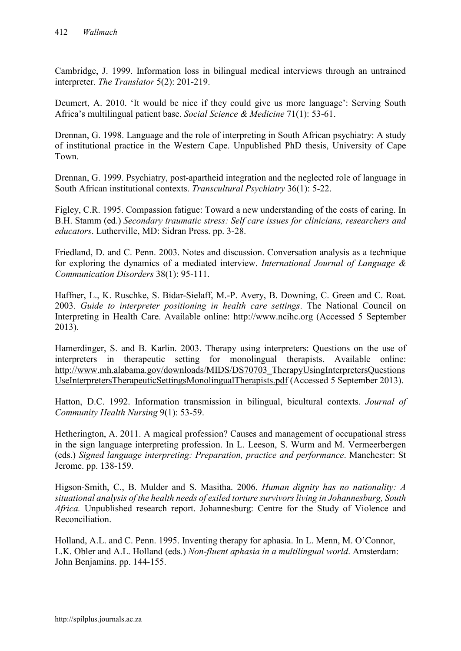Cambridge, J. 1999. Information loss in bilingual medical interviews through an untrained interpreter. *The Translator* 5(2): 201-219.

Deumert, A. 2010. 'It would be nice if they could give us more language': Serving South Africa's multilingual patient base. *Social Science & Medicine* 71(1): 53-61.

Drennan, G. 1998. Language and the role of interpreting in South African psychiatry: A study of institutional practice in the Western Cape. Unpublished PhD thesis, University of Cape Town.

Drennan, G. 1999. Psychiatry, post-apartheid integration and the neglected role of language in South African institutional contexts. *Transcultural Psychiatry* 36(1): 5-22.

Figley, C.R. 1995. Compassion fatigue: Toward a new understanding of the costs of caring. In B.H. Stamm (ed.) *Secondary traumatic stress: Self care issues for clinicians, researchers and educators*. Lutherville, MD: Sidran Press. pp. 3-28.

Friedland, D. and C. Penn. 2003. Notes and discussion. Conversation analysis as a technique for exploring the dynamics of a mediated interview. *International Journal of Language & Communication Disorders* 38(1): 95-111.

Haffner, L., K. Ruschke, S. Bidar-Sielaff, M.-P. Avery, B. Downing, C. Green and C. Roat. 2003. *Guide to interpreter positioning in health care settings*. The National Council on Interpreting in Health Care. Available online: [http://www.ncihc.org](http://www.ncihc.org/) (Accessed 5 September 2013).

Hamerdinger, S. and B. Karlin. 2003. Therapy using interpreters: Questions on the use of interpreters in therapeutic setting for monolingual therapists. Available online: [http://www.mh.alabama.gov/downloads/MIDS/DS70703\\_TherapyUsingInterpretersQuestions](http://www.mh.alabama.gov/downloads/MIDS/DS70703_TherapyUsingInterpretersQuestionsUseInterpretersTherapeuticSettingsMonolingualTherapists.pdf) [UseInterpretersTherapeuticSettingsMonolingualTherapists.pdf](http://www.mh.alabama.gov/downloads/MIDS/DS70703_TherapyUsingInterpretersQuestionsUseInterpretersTherapeuticSettingsMonolingualTherapists.pdf) (Accessed 5 September 2013).

Hatton, D.C. 1992. Information transmission in bilingual, bicultural contexts. *Journal of Community Health Nursing* 9(1): 53-59.

Hetherington, A. 2011. A magical profession? Causes and management of occupational stress in the sign language interpreting profession. In L. Leeson, S. Wurm and M. Vermeerbergen (eds.) *Signed language interpreting: Preparation, practice and performance*. Manchester: St Jerome. pp. 138-159.

Higson-Smith, C., B. Mulder and S. Masitha. 2006. *Human dignity has no nationality: A situational analysis of the health needs of exiled torture survivors living in Johannesburg, South Africa.* Unpublished research report. Johannesburg: Centre for the Study of Violence and Reconciliation.

Holland, A.L. and C. Penn. 1995. Inventing therapy for aphasia. In L. Menn, M. O'Connor, L.K. Obler and A.L. Holland (eds.) *Non-fluent aphasia in a multilingual world*. Amsterdam: John Benjamins. pp. 144-155.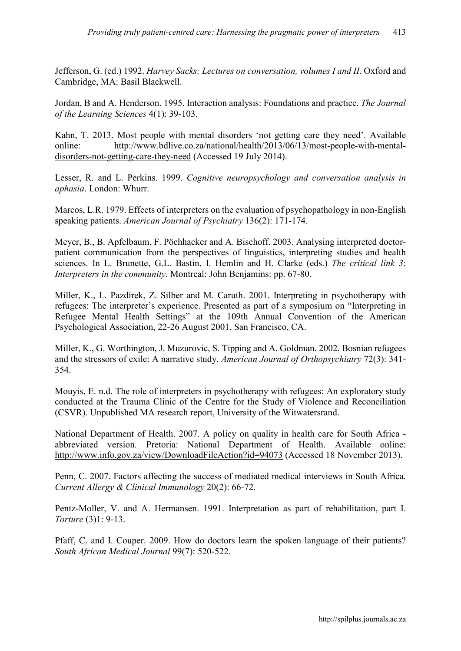Jefferson, G. (ed.) 1992. *Harvey Sacks: Lectures on conversation, volumes I and II*. Oxford and Cambridge, MA: Basil Blackwell.

Jordan, B and A. Henderson. 1995. Interaction analysis: Foundations and practice. *The Journal of the Learning Sciences* 4(1): 39-103.

Kahn, T. 2013. Most people with mental disorders 'not getting care they need'. Available online: [http://www.bdlive.co.za/national/health/2013/06/13/most-people-with-mental](http://www.bdlive.co.za/national/health/2013/06/13/most-people-with-mental-disorders-not-getting-care-they-need)[disorders-not-getting-care-they-need](http://www.bdlive.co.za/national/health/2013/06/13/most-people-with-mental-disorders-not-getting-care-they-need) (Accessed 19 July 2014).

Lesser, R. and L. Perkins. 1999. *Cognitive neuropsychology and conversation analysis in aphasia*. London: Whurr.

Marcos, L.R. 1979. Effects of interpreters on the evaluation of psychopathology in non-English speaking patients. *American Journal of Psychiatry* 136(2): 171-174.

Meyer, B., B. Apfelbaum, F. Pöchhacker and A. Bischoff. 2003. Analysing interpreted doctorpatient communication from the perspectives of linguistics, interpreting studies and health sciences. In L. Brunette, G.L. Bastin, I. Hemlin and H. Clarke (eds.) *The critical link 3*: *Interpreters in the community*. Montreal: John Benjamins: pp. 67-80.

Miller, K., L. Pazdirek, Z. Silber and M. Caruth. 2001. Interpreting in psychotherapy with refugees: The interpreter's experience. Presented as part of a symposium on "Interpreting in Refugee Mental Health Settings" at the 109th Annual Convention of the American Psychological Association, 22-26 August 2001, San Francisco, CA.

Miller, K., G. Worthington, J. Muzurovic, S. Tipping and A. Goldman. 2002. Bosnian refugees and the stressors of exile: A narrative study. *American Journal of Orthopsychiatry* 72(3): 341- 354.

Mouyis, E. n.d. The role of interpreters in psychotherapy with refugees: An exploratory study conducted at the Trauma Clinic of the Centre for the Study of Violence and Reconciliation (CSVR). Unpublished MA research report, University of the Witwatersrand.

National Department of Health. 2007. A policy on quality in health care for South Africa abbreviated version. Pretoria: National Department of Health. Available online: http://www.info.gov.za/view/DownloadFileAction?id=940<u>73</u> (Accessed 18 November 2013).

Penn, C. 2007. Factors affecting the success of mediated medical interviews in South Africa. *Current Allergy & Clinical Immunology* 20(2): 66-72.

Pentz-Moller, V. and A. Hermansen. 1991. Interpretation as part of rehabilitation, part I. *Torture* (3)1: 9-13.

Pfaff, C. and I. Couper. 2009. How do doctors learn the spoken language of their patients? *South African Medical Journal* 99(7): 520-522.